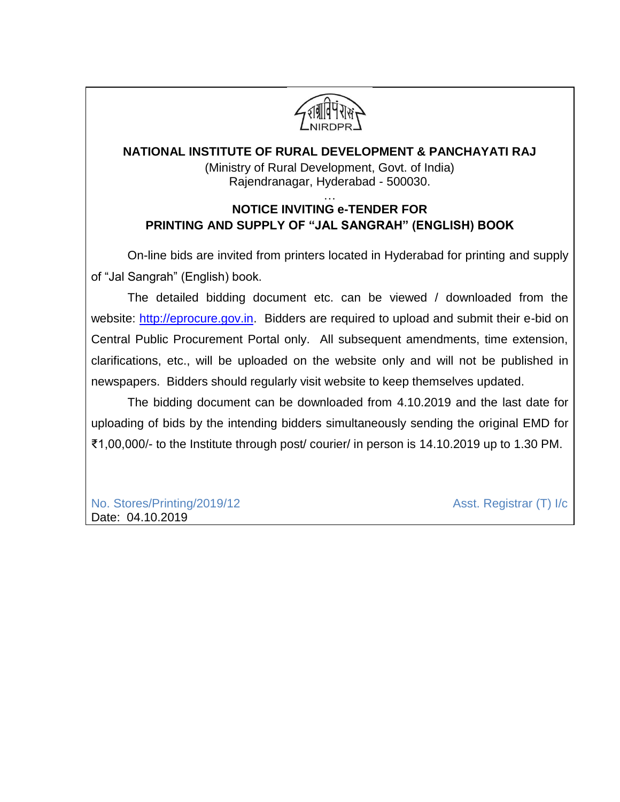

# **NATIONAL INSTITUTE OF RURAL DEVELOPMENT & PANCHAYATI RAJ** (Ministry of Rural Development, Govt. of India) Rajendranagar, Hyderabad - 500030.

## … **NOTICE INVITING e-TENDER FOR PRINTING AND SUPPLY OF "JAL SANGRAH" (ENGLISH) BOOK**

On-line bids are invited from printers located in Hyderabad for printing and supply of "Jal Sangrah" (English) book.

The detailed bidding document etc. can be viewed / downloaded from the website: [http://eprocure.gov.in.](http://eprocure.gov.in/) Bidders are required to upload and submit their e-bid on Central Public Procurement Portal only. All subsequent amendments, time extension, clarifications, etc., will be uploaded on the website only and will not be published in newspapers. Bidders should regularly visit website to keep themselves updated.

The bidding document can be downloaded from 4.10.2019 and the last date for uploading of bids by the intending bidders simultaneously sending the original EMD for ₹1,00,000/- to the Institute through post/ courier/ in person is 14.10.2019 up to 1.30 PM.

No. Stores/Printing/2019/12 Asst. Registrar (T) I/c Date: 04.10.2019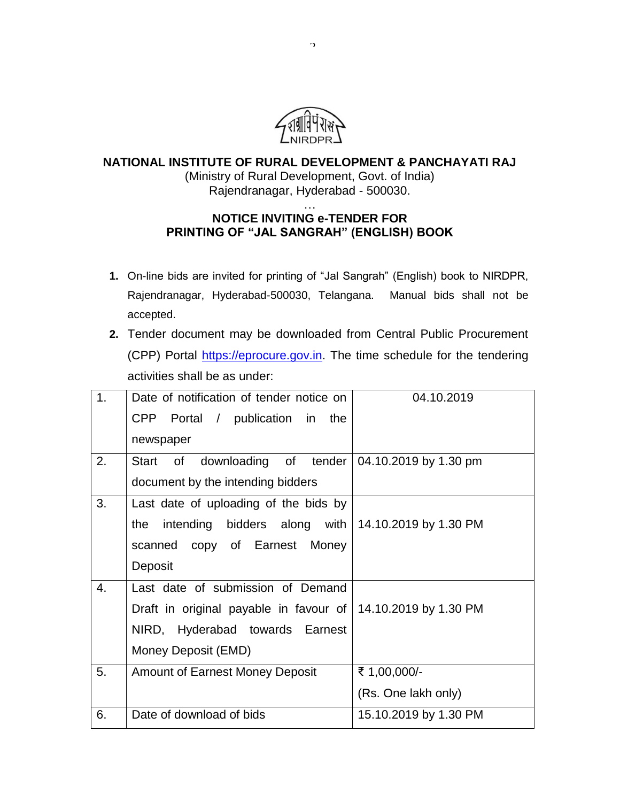

## **NATIONAL INSTITUTE OF RURAL DEVELOPMENT & PANCHAYATI RAJ** (Ministry of Rural Development, Govt. of India)

Rajendranagar, Hyderabad - 500030.

### … **NOTICE INVITING e-TENDER FOR PRINTING OF "JAL SANGRAH" (ENGLISH) BOOK**

- **1.** On-line bids are invited for printing of "Jal Sangrah" (English) book to NIRDPR, Rajendranagar, Hyderabad-500030, Telangana. Manual bids shall not be accepted.
- **2.** Tender document may be downloaded from Central Public Procurement (CPP) Portal [https://eprocure.gov.in.](https://eprocure.gov.in/) The time schedule for the tendering activities shall be as under:

| 1. | Date of notification of tender notice on                             | 04.10.2019            |
|----|----------------------------------------------------------------------|-----------------------|
|    | CPP Portal / publication in the                                      |                       |
|    | newspaper                                                            |                       |
| 2. | of downloading of tender 04.10.2019 by 1.30 pm<br>Start              |                       |
|    | document by the intending bidders                                    |                       |
| 3. | Last date of uploading of the bids by                                |                       |
|    | intending bidders along with $14.10.2019$ by 1.30 PM<br>the          |                       |
|    | scanned copy of Earnest Money                                        |                       |
|    | Deposit                                                              |                       |
| 4. | Last date of submission of Demand                                    |                       |
|    | Draft in original payable in favour of $\vert$ 14.10.2019 by 1.30 PM |                       |
|    | NIRD, Hyderabad towards Earnest                                      |                       |
|    | Money Deposit (EMD)                                                  |                       |
| 5. | <b>Amount of Earnest Money Deposit</b>                               | ₹ 1,00,000/-          |
|    |                                                                      | (Rs. One lakh only)   |
| 6. | Date of download of bids                                             | 15.10.2019 by 1.30 PM |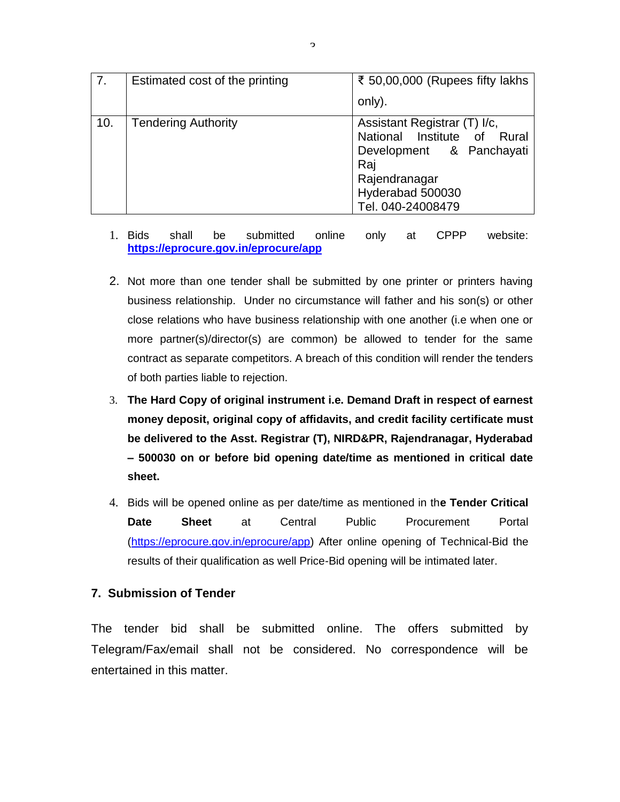| $\overline{7}$ . | Estimated cost of the printing | ₹ 50,00,000 (Rupees fifty lakhs<br>only).                                                                                                                |  |  |
|------------------|--------------------------------|----------------------------------------------------------------------------------------------------------------------------------------------------------|--|--|
|                  |                                |                                                                                                                                                          |  |  |
| 10.              | <b>Tendering Authority</b>     | Assistant Registrar (T) I/c,<br>National Institute of Rural<br>Development & Panchayati<br>Raj<br>Rajendranagar<br>Hyderabad 500030<br>Tel. 040-24008479 |  |  |

- 1. Bids shall be submitted online only at CPPP website: **<https://eprocure.gov.in/eprocure/app>**
- 2. Not more than one tender shall be submitted by one printer or printers having business relationship. Under no circumstance will father and his son(s) or other close relations who have business relationship with one another (i.e when one or more partner(s)/director(s) are common) be allowed to tender for the same contract as separate competitors. A breach of this condition will render the tenders of both parties liable to rejection.
- 3. **The Hard Copy of original instrument i.e. Demand Draft in respect of earnest money deposit, original copy of affidavits, and credit facility certificate must be delivered to the Asst. Registrar (T), NIRD&PR, Rajendranagar, Hyderabad – 500030 on or before bid opening date/time as mentioned in critical date sheet.**
- 4. Bids will be opened online as per date/time as mentioned in th**e Tender Critical Date Sheet** at Central Public Procurement Portal [\(https://eprocure.gov.in/eprocure/app\)](https://eprocure.gov.in/eprocure/app) After online opening of Technical-Bid the results of their qualification as well Price-Bid opening will be intimated later.

## **7. Submission of Tender**

The tender bid shall be submitted online. The offers submitted by Telegram/Fax/email shall not be considered. No correspondence will be entertained in this matter.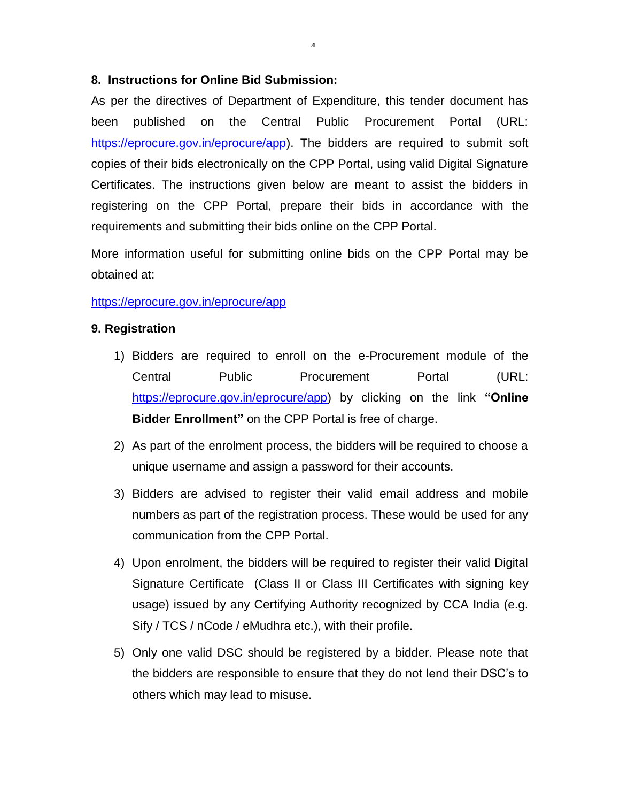## **8. Instructions for Online Bid Submission:**

As per the directives of Department of Expenditure, this tender document has been published on the Central Public Procurement Portal (URL: [https://eprocure.gov.in/eprocure/app\)](https://eprocure.gov.in/eprocure/app). The bidders are required to submit soft copies of their bids electronically on the CPP Portal, using valid Digital Signature Certificates. The instructions given below are meant to assist the bidders in registering on the CPP Portal, prepare their bids in accordance with the requirements and submitting their bids online on the CPP Portal.

4

More information useful for submitting online bids on the CPP Portal may be obtained at:

### <https://eprocure.gov.in/eprocure/app>

### **9. Registration**

- 1) Bidders are required to enroll on the e-Procurement module of the Central Public Procurement Portal (URL: [https://eprocure.gov.in/eprocure/app\)](https://eprocure.gov.in/eprocure/app) by clicking on the link **"Online Bidder Enrollment"** on the CPP Portal is free of charge.
- 2) As part of the enrolment process, the bidders will be required to choose a unique username and assign a password for their accounts.
- 3) Bidders are advised to register their valid email address and mobile numbers as part of the registration process. These would be used for any communication from the CPP Portal.
- 4) Upon enrolment, the bidders will be required to register their valid Digital Signature Certificate (Class II or Class III Certificates with signing key usage) issued by any Certifying Authority recognized by CCA India (e.g. Sify / TCS / nCode / eMudhra etc.), with their profile.
- 5) Only one valid DSC should be registered by a bidder. Please note that the bidders are responsible to ensure that they do not lend their DSC's to others which may lead to misuse.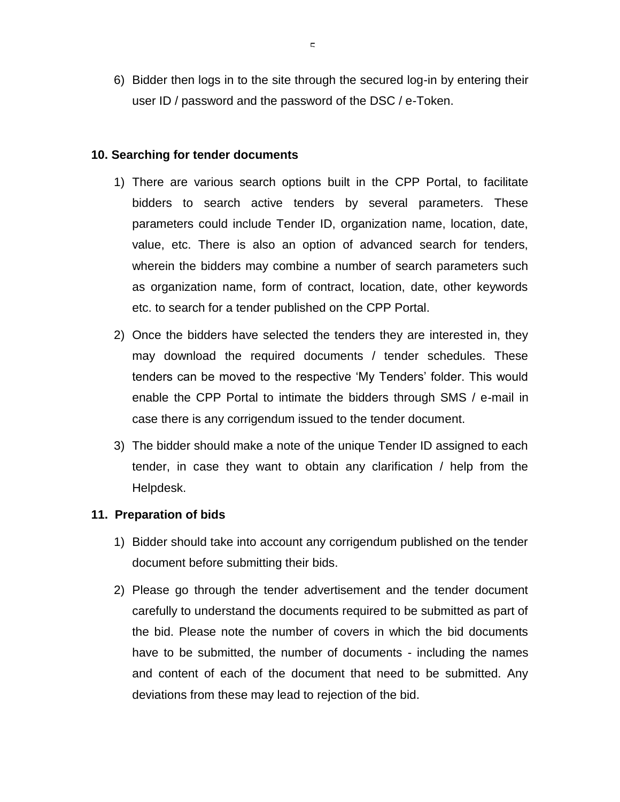6) Bidder then logs in to the site through the secured log-in by entering their user ID / password and the password of the DSC / e-Token.

#### **10. Searching for tender documents**

- 1) There are various search options built in the CPP Portal, to facilitate bidders to search active tenders by several parameters. These parameters could include Tender ID, organization name, location, date, value, etc. There is also an option of advanced search for tenders, wherein the bidders may combine a number of search parameters such as organization name, form of contract, location, date, other keywords etc. to search for a tender published on the CPP Portal.
- 2) Once the bidders have selected the tenders they are interested in, they may download the required documents / tender schedules. These tenders can be moved to the respective 'My Tenders' folder. This would enable the CPP Portal to intimate the bidders through SMS / e-mail in case there is any corrigendum issued to the tender document.
- 3) The bidder should make a note of the unique Tender ID assigned to each tender, in case they want to obtain any clarification / help from the Helpdesk.

#### **11. Preparation of bids**

- 1) Bidder should take into account any corrigendum published on the tender document before submitting their bids.
- 2) Please go through the tender advertisement and the tender document carefully to understand the documents required to be submitted as part of the bid. Please note the number of covers in which the bid documents have to be submitted, the number of documents - including the names and content of each of the document that need to be submitted. Any deviations from these may lead to rejection of the bid.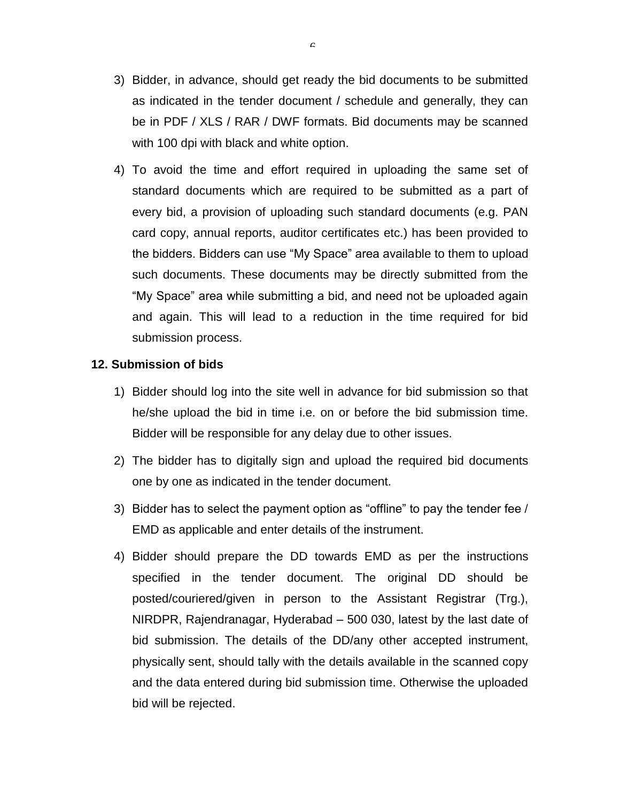- 3) Bidder, in advance, should get ready the bid documents to be submitted as indicated in the tender document / schedule and generally, they can be in PDF / XLS / RAR / DWF formats. Bid documents may be scanned with 100 dpi with black and white option.
- 4) To avoid the time and effort required in uploading the same set of standard documents which are required to be submitted as a part of every bid, a provision of uploading such standard documents (e.g. PAN card copy, annual reports, auditor certificates etc.) has been provided to the bidders. Bidders can use "My Space" area available to them to upload such documents. These documents may be directly submitted from the "My Space" area while submitting a bid, and need not be uploaded again and again. This will lead to a reduction in the time required for bid submission process.

## **12. Submission of bids**

- 1) Bidder should log into the site well in advance for bid submission so that he/she upload the bid in time i.e. on or before the bid submission time. Bidder will be responsible for any delay due to other issues.
- 2) The bidder has to digitally sign and upload the required bid documents one by one as indicated in the tender document.
- 3) Bidder has to select the payment option as "offline" to pay the tender fee / EMD as applicable and enter details of the instrument.
- 4) Bidder should prepare the DD towards EMD as per the instructions specified in the tender document. The original DD should be posted/couriered/given in person to the Assistant Registrar (Trg.), NIRDPR, Rajendranagar, Hyderabad – 500 030, latest by the last date of bid submission. The details of the DD/any other accepted instrument, physically sent, should tally with the details available in the scanned copy and the data entered during bid submission time. Otherwise the uploaded bid will be rejected.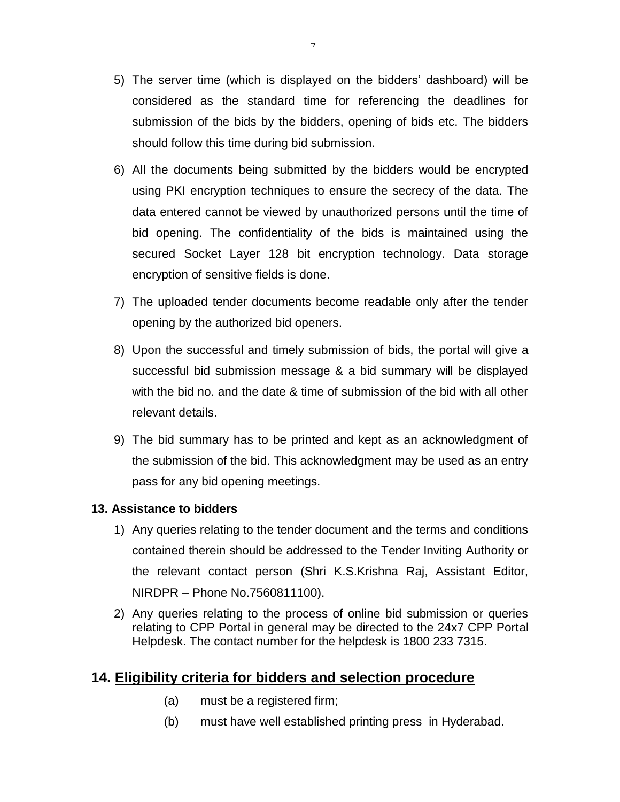- 5) The server time (which is displayed on the bidders' dashboard) will be considered as the standard time for referencing the deadlines for submission of the bids by the bidders, opening of bids etc. The bidders should follow this time during bid submission.
- 6) All the documents being submitted by the bidders would be encrypted using PKI encryption techniques to ensure the secrecy of the data. The data entered cannot be viewed by unauthorized persons until the time of bid opening. The confidentiality of the bids is maintained using the secured Socket Layer 128 bit encryption technology. Data storage encryption of sensitive fields is done.
- 7) The uploaded tender documents become readable only after the tender opening by the authorized bid openers.
- 8) Upon the successful and timely submission of bids, the portal will give a successful bid submission message & a bid summary will be displayed with the bid no. and the date & time of submission of the bid with all other relevant details.
- 9) The bid summary has to be printed and kept as an acknowledgment of the submission of the bid. This acknowledgment may be used as an entry pass for any bid opening meetings.

## **13. Assistance to bidders**

- 1) Any queries relating to the tender document and the terms and conditions contained therein should be addressed to the Tender Inviting Authority or the relevant contact person (Shri K.S.Krishna Raj, Assistant Editor, NIRDPR – Phone No.7560811100).
- 2) Any queries relating to the process of online bid submission or queries relating to CPP Portal in general may be directed to the 24x7 CPP Portal Helpdesk. The contact number for the helpdesk is 1800 233 7315.

# **14. Eligibility criteria for bidders and selection procedure**

- (a) must be a registered firm;
- (b) must have well established printing press in Hyderabad.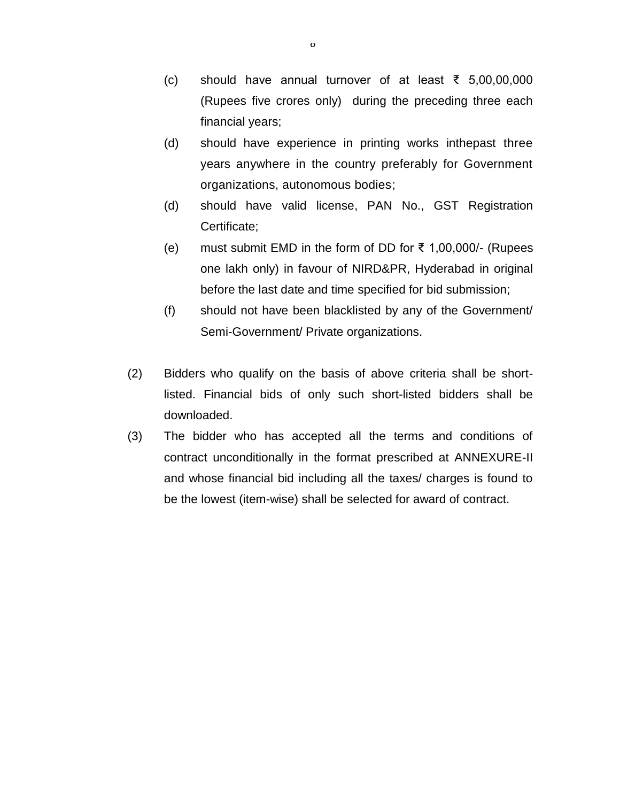- (c) should have annual turnover of at least ₹ 5,00,00,000 (Rupees five crores only) during the preceding three each financial years;
- (d) should have experience in printing works inthepast three years anywhere in the country preferably for Government organizations, autonomous bodies;
- (d) should have valid license, PAN No., GST Registration Certificate;
- (e) must submit EMD in the form of DD for ₹ 1,00,000/- (Rupees one lakh only) in favour of NIRD&PR, Hyderabad in original before the last date and time specified for bid submission;
- (f) should not have been blacklisted by any of the Government/ Semi-Government/ Private organizations.
- (2) Bidders who qualify on the basis of above criteria shall be shortlisted. Financial bids of only such short-listed bidders shall be downloaded.
- (3) The bidder who has accepted all the terms and conditions of contract unconditionally in the format prescribed at ANNEXURE-II and whose financial bid including all the taxes/ charges is found to be the lowest (item-wise) shall be selected for award of contract.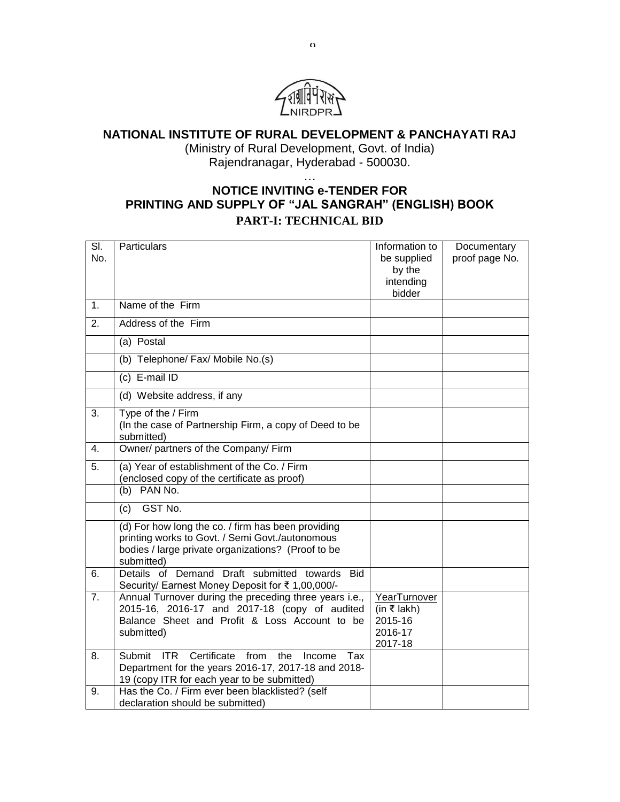

# **NATIONAL INSTITUTE OF RURAL DEVELOPMENT & PANCHAYATI RAJ**

(Ministry of Rural Development, Govt. of India) Rajendranagar, Hyderabad - 500030.

## … **NOTICE INVITING e-TENDER FOR PRINTING AND SUPPLY OF "JAL SANGRAH" (ENGLISH) BOOK PART-I: TECHNICAL BID**

| $\overline{\mathsf{SI}}$ | Particulars                                                                                                 | Information to      | Documentary    |
|--------------------------|-------------------------------------------------------------------------------------------------------------|---------------------|----------------|
| No.                      |                                                                                                             | be supplied         | proof page No. |
|                          |                                                                                                             | by the              |                |
|                          |                                                                                                             | intending<br>bidder |                |
| 1.                       | Name of the Firm                                                                                            |                     |                |
| 2.                       | Address of the Firm                                                                                         |                     |                |
|                          | (a) Postal                                                                                                  |                     |                |
|                          | (b) Telephone/ Fax/ Mobile No.(s)                                                                           |                     |                |
|                          | (c) E-mail ID                                                                                               |                     |                |
|                          | (d) Website address, if any                                                                                 |                     |                |
| 3.                       | Type of the / Firm<br>(In the case of Partnership Firm, a copy of Deed to be                                |                     |                |
|                          | submitted)                                                                                                  |                     |                |
| 4.                       | Owner/ partners of the Company/ Firm                                                                        |                     |                |
| 5.                       | (a) Year of establishment of the Co. / Firm<br>(enclosed copy of the certificate as proof)                  |                     |                |
|                          | $(b)$ PAN No.                                                                                               |                     |                |
|                          | GST No.                                                                                                     |                     |                |
|                          | (c)                                                                                                         |                     |                |
|                          | (d) For how long the co. / firm has been providing                                                          |                     |                |
|                          | printing works to Govt. / Semi Govt./autonomous<br>bodies / large private organizations? (Proof to be       |                     |                |
|                          | submitted)                                                                                                  |                     |                |
| 6.                       | Details of Demand Draft submitted towards<br><b>Bid</b><br>Security/ Earnest Money Deposit for ₹ 1,00,000/- |                     |                |
| $\overline{7}$ .         | Annual Turnover during the preceding three years i.e.,                                                      | YearTurnover        |                |
|                          | 2015-16, 2016-17 and 2017-18 (copy of audited<br>Balance Sheet and Profit & Loss Account to be              | (in ₹ lakh)         |                |
|                          | submitted)                                                                                                  | 2015-16<br>2016-17  |                |
|                          |                                                                                                             | 2017-18             |                |
| 8.                       | Certificate<br>Submit ITR<br>from<br>the<br>Income<br>Tax                                                   |                     |                |
|                          | Department for the years 2016-17, 2017-18 and 2018-                                                         |                     |                |
| 9.                       | 19 (copy ITR for each year to be submitted)<br>Has the Co. / Firm ever been blacklisted? (self              |                     |                |
|                          | declaration should be submitted)                                                                            |                     |                |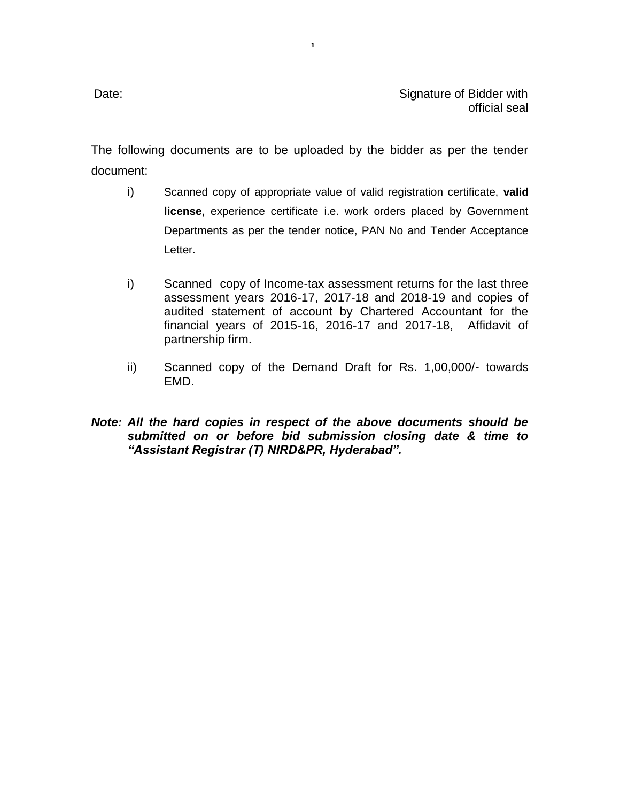The following documents are to be uploaded by the bidder as per the tender document:

1

- i) Scanned copy of appropriate value of valid registration certificate, **valid license**, experience certificate i.e. work orders placed by Government Departments as per the tender notice, PAN No and Tender Acceptance Letter.
- i) Scanned copy of Income-tax assessment returns for the last three assessment years 2016-17, 2017-18 and 2018-19 and copies of audited statement of account by Chartered Accountant for the financial years of 2015-16, 2016-17 and 2017-18, Affidavit of partnership firm.
- ii) Scanned copy of the Demand Draft for Rs. 1,00,000/- towards EMD.
- *Note: All the hard copies in respect of the above documents should be submitted on or before bid submission closing date & time to "Assistant Registrar (T) NIRD&PR, Hyderabad".*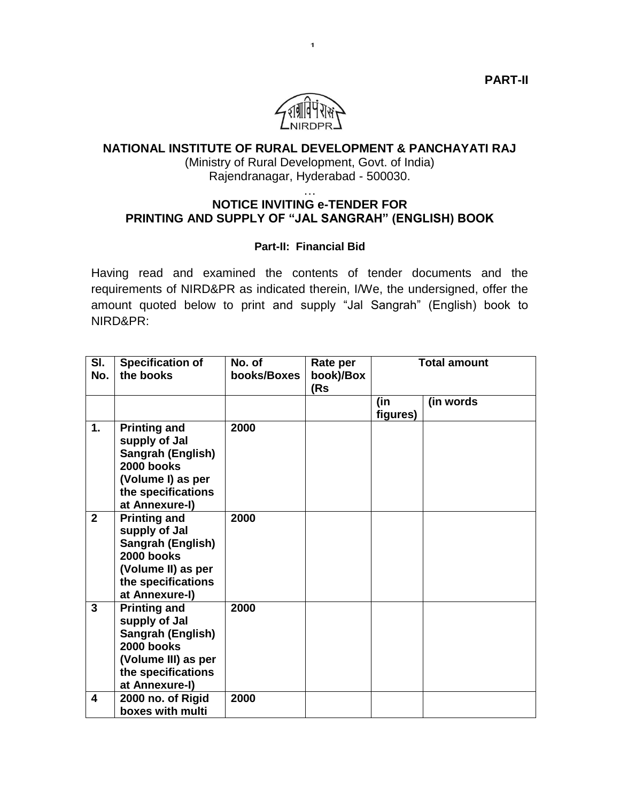

1

## **NATIONAL INSTITUTE OF RURAL DEVELOPMENT & PANCHAYATI RAJ**

(Ministry of Rural Development, Govt. of India) Rajendranagar, Hyderabad - 500030.

#### … **NOTICE INVITING e-TENDER FOR PRINTING AND SUPPLY OF "JAL SANGRAH" (ENGLISH) BOOK**

#### **Part-II: Financial Bid**

Having read and examined the contents of tender documents and the requirements of NIRD&PR as indicated therein, I/We, the undersigned, offer the amount quoted below to print and supply "Jal Sangrah" (English) book to NIRD&PR:

| SI.<br>No.     | <b>Specification of</b><br>the books                                                                                                   | No. of<br>books/Boxes | Rate per<br>book)/Box<br>(Rs | <b>Total amount</b> |            |
|----------------|----------------------------------------------------------------------------------------------------------------------------------------|-----------------------|------------------------------|---------------------|------------|
|                |                                                                                                                                        |                       |                              | (in<br>figures)     | (in words) |
| 1.             | <b>Printing and</b><br>supply of Jal<br>Sangrah (English)<br>2000 books<br>(Volume I) as per<br>the specifications<br>at Annexure-I)   | 2000                  |                              |                     |            |
| $\overline{2}$ | <b>Printing and</b><br>supply of Jal<br>Sangrah (English)<br>2000 books<br>(Volume II) as per<br>the specifications<br>at Annexure-I)  | 2000                  |                              |                     |            |
| 3              | <b>Printing and</b><br>supply of Jal<br>Sangrah (English)<br>2000 books<br>(Volume III) as per<br>the specifications<br>at Annexure-I) | 2000                  |                              |                     |            |
| 4              | 2000 no. of Rigid<br>boxes with multi                                                                                                  | 2000                  |                              |                     |            |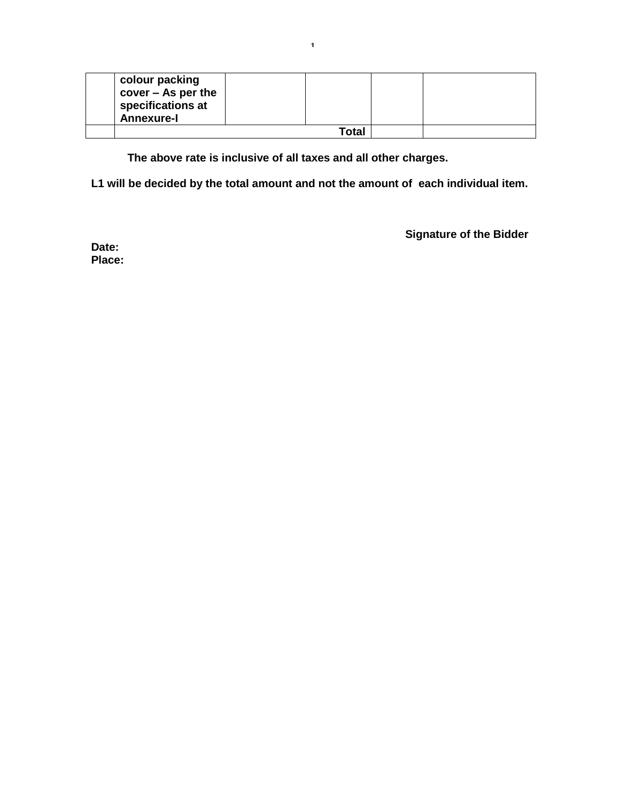| colour packing<br>$cover - As per the$<br>specifications at<br><b>Annexure-I</b> |       |  |
|----------------------------------------------------------------------------------|-------|--|
|                                                                                  | Гоtal |  |

**The above rate is inclusive of all taxes and all other charges.**

**L1 will be decided by the total amount and not the amount of each individual item.**

**Signature of the Bidder**

**Date: Place:**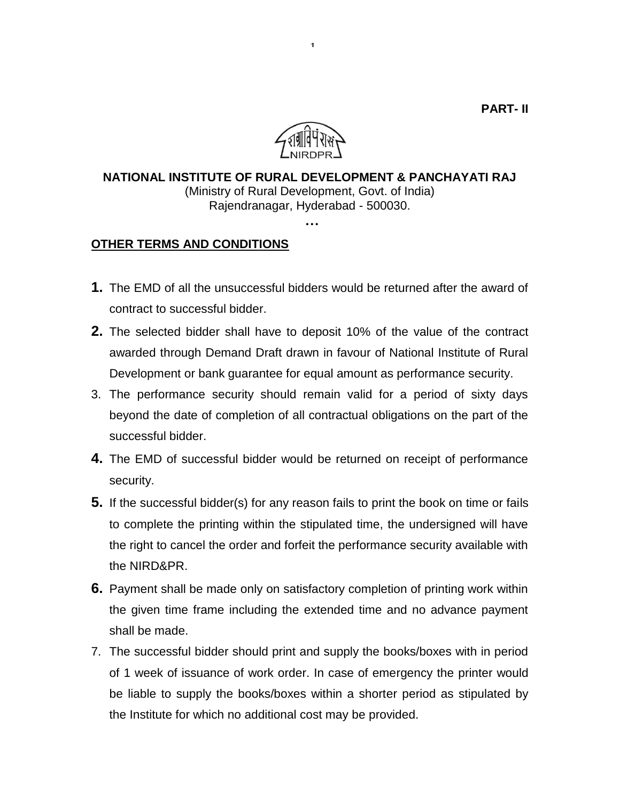

1

# **NATIONAL INSTITUTE OF RURAL DEVELOPMENT & PANCHAYATI RAJ** (Ministry of Rural Development, Govt. of India) Rajendranagar, Hyderabad - 500030. **…**

# **OTHER TERMS AND CONDITIONS**

- **1.** The EMD of all the unsuccessful bidders would be returned after the award of contract to successful bidder.
- **2.** The selected bidder shall have to deposit 10% of the value of the contract awarded through Demand Draft drawn in favour of National Institute of Rural Development or bank guarantee for equal amount as performance security.
- 3. The performance security should remain valid for a period of sixty days beyond the date of completion of all contractual obligations on the part of the successful bidder.
- **4.** The EMD of successful bidder would be returned on receipt of performance security.
- **5.** If the successful bidder(s) for any reason fails to print the book on time or fails to complete the printing within the stipulated time, the undersigned will have the right to cancel the order and forfeit the performance security available with the NIRD&PR.
- **6.** Payment shall be made only on satisfactory completion of printing work within the given time frame including the extended time and no advance payment shall be made.
- 7. The successful bidder should print and supply the books/boxes with in period of 1 week of issuance of work order. In case of emergency the printer would be liable to supply the books/boxes within a shorter period as stipulated by the Institute for which no additional cost may be provided.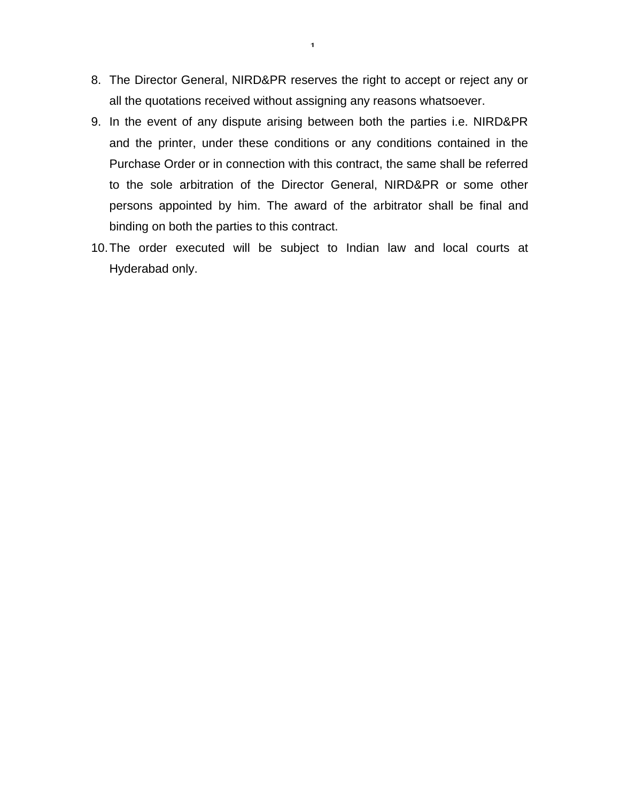- 8. The Director General, NIRD&PR reserves the right to accept or reject any or all the quotations received without assigning any reasons whatsoever.
- 9. In the event of any dispute arising between both the parties i.e. NIRD&PR and the printer, under these conditions or any conditions contained in the Purchase Order or in connection with this contract, the same shall be referred to the sole arbitration of the Director General, NIRD&PR or some other persons appointed by him. The award of the arbitrator shall be final and binding on both the parties to this contract.
- 10.The order executed will be subject to Indian law and local courts at Hyderabad only.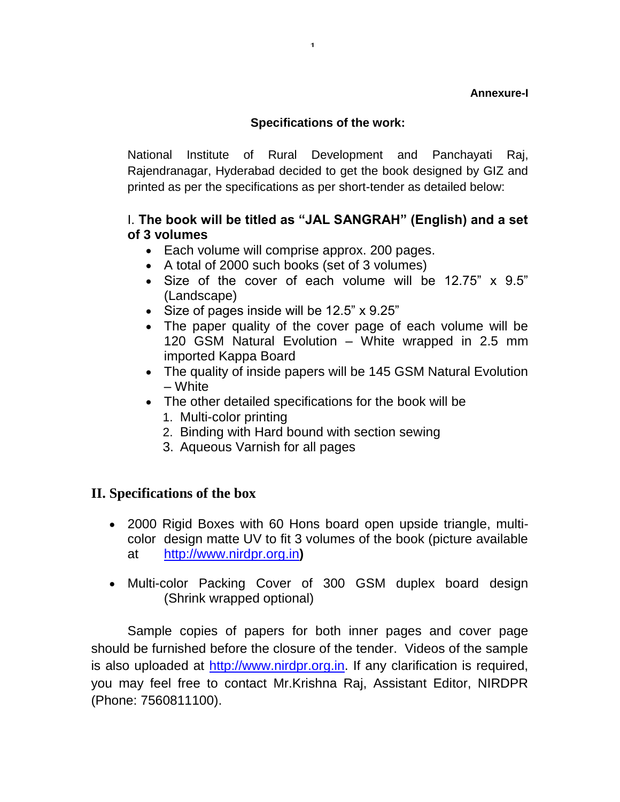### **Annexure-I**

# **Specifications of the work:**

1

National Institute of Rural Development and Panchayati Raj, Rajendranagar, Hyderabad decided to get the book designed by GIZ and printed as per the specifications as per short-tender as detailed below:

# I. **The book will be titled as "JAL SANGRAH" (English) and a set of 3 volumes**

- Each volume will comprise approx. 200 pages.
- A total of 2000 such books (set of 3 volumes)
- Size of the cover of each volume will be 12.75" x 9.5" (Landscape)
- Size of pages inside will be 12.5" x 9.25"
- The paper quality of the cover page of each volume will be 120 GSM Natural Evolution – White wrapped in 2.5 mm imported Kappa Board
- The quality of inside papers will be 145 GSM Natural Evolution – White
- The other detailed specifications for the book will be
	- 1. Multi-color printing
	- 2. Binding with Hard bound with section sewing
	- 3. Aqueous Varnish for all pages

# **II. Specifications of the box**

- 2000 Rigid Boxes with 60 Hons board open upside triangle, multicolor design matte UV to fit 3 volumes of the book (picture available at [http://www.nirdpr.org.in](http://www.nirdpr.org.in/)**)**
- Multi-color Packing Cover of 300 GSM duplex board design (Shrink wrapped optional)

Sample copies of papers for both inner pages and cover page should be furnished before the closure of the tender. Videos of the sample is also uploaded at [http://www.nirdpr.org.in.](http://www.nirdpr.org.in/) If any clarification is required, you may feel free to contact Mr.Krishna Raj, Assistant Editor, NIRDPR (Phone: 7560811100).